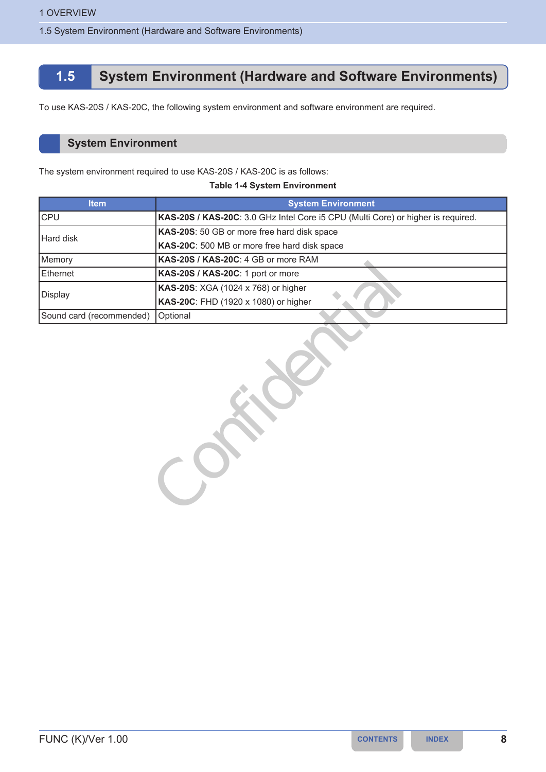1.5 System Environment (Hardware and Software Environments)

# **1.5 System Environment (Hardware and Software Environments)**

To use KAS-20S / KAS-20C, the following system environment and software environment are required.

## **System Environment**

The system environment required to use KAS-20S / KAS-20C is as follows:

| <b>Item</b>              | <b>System Environment</b>                                                        |  |
|--------------------------|----------------------------------------------------------------------------------|--|
| <b>CPU</b>               | KAS-20S / KAS-20C: 3.0 GHz Intel Core i5 CPU (Multi Core) or higher is required. |  |
| Hard disk                | KAS-20S: 50 GB or more free hard disk space                                      |  |
|                          | KAS-20C: 500 MB or more free hard disk space                                     |  |
| Memory                   | KAS-20S / KAS-20C: 4 GB or more RAM                                              |  |
| Ethernet                 | KAS-20S / KAS-20C: 1 port or more                                                |  |
| Display                  | KAS-20S: XGA (1024 x 768) or higher                                              |  |
|                          | KAS-20C: FHD (1920 x 1080) or higher                                             |  |
| Sound card (recommended) | Optional                                                                         |  |

### **Table 1-4 System Environment**

KAS-20S / KAS-20C: 1 port or more<br>
KAS-20S / XGA (1024 x 768) or higher<br>
KAS-20C: FHD (1920 x 1080) or higher<br>
Optional